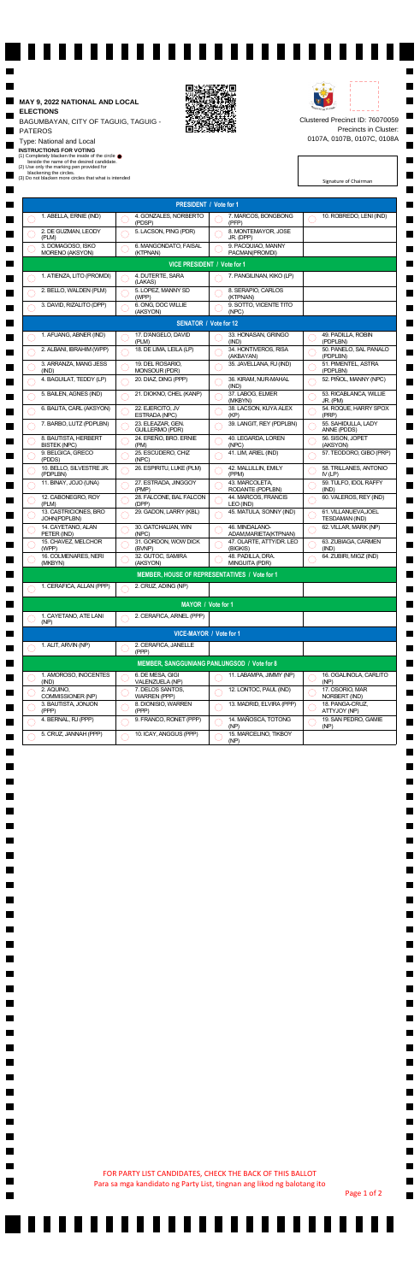Signature of Chairman

## ■ **MAY 9, 2022 NATIONAL AND LOCAL ELECTIONS**

ш PATEROS

 $\blacksquare$ 

 $\blacksquare$ 

▉

 $\blacksquare$ 

 $\blacksquare$ 

 $\blacksquare$ 

 $\blacksquare$ 

▉

 $\blacksquare$ 

 $\blacksquare$ 

 $\blacksquare$ 

 $\blacksquare$ 

 $\blacksquare$ 

 $\blacksquare$ 

 $\blacksquare$ 

 $\blacksquare$ 

 $\blacksquare$ 

▉

 $\blacksquare$ 

 $\blacksquare$ 

 $\blacksquare$ 

 $\blacksquare$ 

 $\blacksquare$ 

 $\blacksquare$ 

 $\blacksquare$ 

 $\blacksquare$ 

BAGUMBAYAN, CITY OF TAGUIG, TAGUIG -

 $\blacksquare$ 

▉

 $\blacksquare$ 

 $\blacksquare$ 

 $\blacksquare$ 

 $\blacksquare$ 

Type: National and Local

Clustered Precinct ID: 76070059 Precincts in Cluster: 0107A, 0107B, 0107C, 0108A

٠

٠

 $\blacksquare$ 

H

 $\blacksquare$ 

 $\blacksquare$ 

H

۰

٠

٠

٠

٠

٠

٠

ı

п

٠

▊

٠

 $\blacksquare$ 

 $\blacksquare$ 

■

٠

 $\blacksquare$ 

 $\blacksquare$ 

٠

 $\blacksquare$ 

٠

 $\blacksquare$ 

н

٠

 $\blacksquare$ 

٠

 $\blacksquare$ 

н

٠

 $\blacksquare$ 

٠

 $\blacksquare$ 

н

٠

 $\blacksquare$ 

٠

 $\blacksquare$ 

н

٠

 $\blacksquare$ 

٠

 $\blacksquare$ 

н

**INSTRUCTIONS FOR VOTING**

(1) Completely blacken the inside of the circle beside the name of the desired candidate.

(2) Use only the marking pen provided for

blackening the circles.

(3) Do not blacken more circles that what is intended



------------------------



|                                               |                                             |  | <b>PRESIDENT / Vote for 1</b>               |    |                                          |    |                                        |  |
|-----------------------------------------------|---------------------------------------------|--|---------------------------------------------|----|------------------------------------------|----|----------------------------------------|--|
|                                               | 1. ABELLA, ERNIE (IND)                      |  | 4. GONZALES, NORBERTO<br>(PDSP)             |    | 7. MARCOS, BONGBONG<br>(PFP)             |    | 10. ROBREDO, LENI (IND)                |  |
|                                               | 2. DE GUZMAN, LEODY<br>(PLM)                |  | 5. LACSON, PING (PDR)                       |    | 8. MONTEMAYOR, JOSE<br>JR. (DPP)         |    |                                        |  |
|                                               | 3. DOMAGOSO, ISKO<br>MORENO (AKSYON)        |  | 6. MANGONDATO, FAISAL<br>(KTPNAN)           |    | 9. PACQUIAO, MANNY<br>PACMAN(PROMDI)     |    |                                        |  |
| VICE PRESIDENT / Vote for 1                   |                                             |  |                                             |    |                                          |    |                                        |  |
|                                               | 1. ATIENZA, LITO (PROMDI)                   |  | 4. DUTERTE, SARA<br>(LAKAS)                 |    | 7. PANGILINAN, KIKO (LP)                 |    |                                        |  |
|                                               | 2. BELLO, WALDEN (PLM)                      |  | 5. LOPEZ, MANNY SD<br>(WPP)                 |    | 8. SERAPIO, CARLOS<br>(KTPNAN)           |    |                                        |  |
|                                               | 3. DAVID, RIZALITO (DPP)                    |  | 6. ONG, DOC WILLIE<br>(AKSYON)              |    | 9. SOTTO, VICENTE TITO<br>(NPC)          |    |                                        |  |
| <b>SENATOR / Vote for 12</b>                  |                                             |  |                                             |    |                                          |    |                                        |  |
|                                               | 1. AFUANG, ABNER (IND)                      |  | 17. D'ANGELO, DAVID<br>(PLM)                |    | 33. HONASAN, GRINGO<br>(IND)             |    | 49. PADILLA, ROBIN<br>(PDPLBN)         |  |
|                                               | 2. ALBANI, IBRAHIM (WPP)                    |  | 18. DE LIMA, LEILA (LP)                     |    | 34. HONTIVEROS, RISA<br>(AKBAYAN)        |    | 50. PANELO, SAL PANALO<br>(PDPLBN)     |  |
|                                               | 3. ARRANZA, MANG JESS<br>(IND)              |  | 19. DEL ROSARIO,<br>MONSOUR (PDR)           |    | 35. JAVELLANA, RJ (IND)                  | i. | 51. PIMENTEL, ASTRA<br>(PDPLBN)        |  |
|                                               | 4. BAGUILAT, TEDDY (LP)                     |  | 20. DIAZ, DING (PPP)                        |    | 36. KIRAM, NUR-MAHAL<br>(IND)            |    | 52. PIÑOL, MANNY (NPC)                 |  |
|                                               | 5. BAILEN, AGNES (IND)                      |  | 21. DIOKNO, CHEL (KANP)                     |    | 37. LABOG, ELMER<br>(MKBYN)              |    | 53. RICABLANCA, WILLIE<br>JR. (PM)     |  |
|                                               | 6. BALITA, CARL (AKSYON)                    |  | 22. EJERCITO, JV<br>ESTRADA (NPC)           |    | 38. LACSON, KUYA ALEX<br>(KP)            |    | 54. ROQUE, HARRY SPOX<br>(PRP)         |  |
|                                               | 7. BARBO, LUTZ (PDPLBN)                     |  | 23. ELEAZAR, GEN.<br><b>GUILLERMO (PDR)</b> |    | 39. LANGIT, REY (PDPLBN)                 |    | 55. SAHIDULLA, LADY<br>ANNE (PDDS)     |  |
|                                               | 8. BAUTISTA, HERBERT<br><b>BISTEK (NPC)</b> |  | 24. EREÑO, BRO. ERNIE<br>(PM)               |    | 40. LEGARDA, LOREN<br>(NPC)              |    | 56. SISON, JOPET<br>(AKSYON)           |  |
|                                               | 9. BELGICA, GRECO<br>(PDDS)                 |  | 25. ESCUDERO, CHIZ<br>(NPC)                 |    | 41. LIM, ARIEL (IND)                     |    | 57. TEODORO, GIBO (PRP)                |  |
|                                               | 10. BELLO, SILVESTRE JR.<br>(PDPLBN)        |  | 26. ESPIRITU, LUKE (PLM)                    |    | 42. MALLILLIN, EMILY<br>(PPM)            |    | 58. TRILLANES, ANTONIO<br>$IV$ (LP)    |  |
|                                               | 11. BINAY, JOJO (UNA)                       |  | 27. ESTRADA, JINGGOY<br>(PMP)               |    | 43. MARCOLETA,<br>RODANTE (PDPLBN)       |    | 59. TULFO, IDOL RAFFY<br>(IND)         |  |
|                                               | 12. CABONEGRO, ROY<br>(PLM)                 |  | 28. FALCONE, BAL FALCON<br>(DPP)            |    | 44. MARCOS, FRANCIS<br>LEO (IND)         |    | 60. VALEROS, REY (IND)                 |  |
|                                               | 13. CASTRICIONES, BRO<br>JOHN(PDPLBN)       |  | 29. GADON, LARRY (KBL)                      |    | 45. MATULA, SONNY (IND)                  |    | 61. VILLANUEVA, JOEL<br>TESDAMAN (IND) |  |
|                                               | 14. CAYETANO, ALAN<br>PETER (IND)           |  | 30. GATCHALIAN, WIN<br>(NPC)                |    | 46. MINDALANO-<br>ADAM, MARIETA (KTPNAN) |    | 62. VILLAR, MARK (NP)                  |  |
|                                               | 15. CHAVEZ, MELCHOR<br>(WPP)                |  | 31. GORDON, WOW DICK<br>(BVNP)              |    | 47. OLARTE, ATTY/DR. LEO<br>(BIGKIS)     | b. | 63. ZUBIAGA, CARMEN<br>(IND)           |  |
|                                               | 16. COLMENARES, NERI<br>(MKBYN)             |  | 32. GUTOC, SAMIRA<br>(AKSYON)               |    | 48. PADILLA, DRA.<br>MINGUITA (PDR)      |    | 64. ZUBIRI, MIGZ (IND)                 |  |
| MEMBER, HOUSE OF REPRESENTATIVES / Vote for 1 |                                             |  |                                             |    |                                          |    |                                        |  |
|                                               | 1. CERAFICA, ALLAN (PPP)                    |  | 2. CRUZ, ADING (NP)                         |    |                                          |    |                                        |  |
| MAYOR / Vote for 1                            |                                             |  |                                             |    |                                          |    |                                        |  |
|                                               | 1. CAYETANO, ATE LANI<br>(NP)               |  | 2. CERAFICA, ARNEL (PPP)                    |    |                                          |    |                                        |  |
|                                               |                                             |  | VICE-MAYOR / Vote for 1                     |    |                                          |    |                                        |  |
|                                               | 1. ALIT, ARVIN (NP)                         |  | 2. CERAFICA, JANELLE<br>(PPP)               |    |                                          |    |                                        |  |
|                                               |                                             |  | MEMBER, SANGGUNIANG PANLUNGSOD / Vote for 8 |    |                                          |    |                                        |  |
|                                               | 1. AMOROSO, INOCENTES<br>(IND)              |  | 6. DE MESA, GIGI<br>VALENZUELA (NP)         |    | 11. LABAMPA, JIMMY (NP)                  |    | 16. OGALINOLA, CARLITO<br>(NP)         |  |
|                                               | 2. AQUINO,<br>COMMISSIONER (NP)             |  | 7. DELOS SANTOS,<br><b>WARREN (PPP)</b>     | J. | 12. LONTOC, PAUL (IND)                   |    | 17. OSORIO, MAR<br>NORBERT (IND)       |  |
|                                               | 3. BAUTISTA, JONJON<br>(PPP)                |  | 8. DIONISIO, WARREN<br>(PPP)                |    | 13. MADRID, ELVIRA (PPP)                 |    | 18. PANGA-CRUZ,<br>ATTYJOY (NP)        |  |
|                                               | 4. BERNAL, RJ (PPP)                         |  | 9. FRANCO, RONET (PPP)                      |    | 14. MAÑOSCA, TOTONG<br>(NP)              |    | 19. SAN PEDRO, GAMIE<br>(NP)           |  |
|                                               | 5. CRUZ, JANNAH (PPP)                       |  | 10. ICAY, ANGGUS (PPP)                      |    | 15. MARCELINO, TIKBOY<br>(NP)            |    |                                        |  |

Page 1 of 2